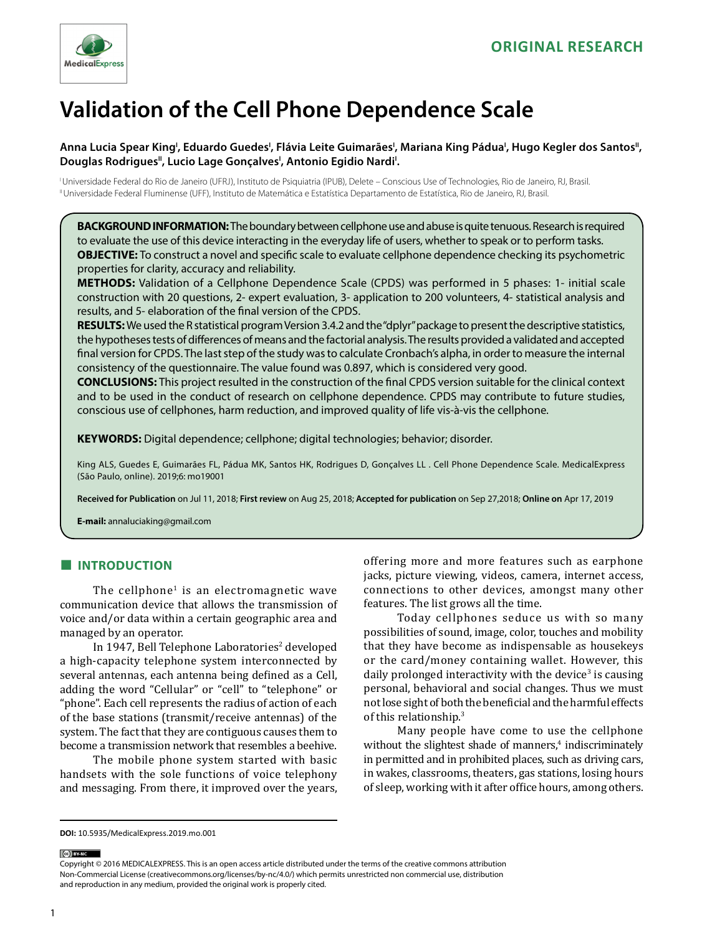

# **Validation of the Cell Phone Dependence Scale**

## Anna Lucia Spear King<sup>ı</sup>, Eduardo Guedes<sup>ı</sup>, Flávia Leite Guimarães<sup>ı</sup>, Mariana King Pádua<sup>ı</sup>, Hugo Kegler dos Santos<sup>ıı</sup>, Douglas Rodrigues", Lucio Lage Gonçalves', Antonio Egidio Nardi'.

I Universidade Federal do Rio de Janeiro (UFRJ), Instituto de Psiquiatria (IPUB), Delete – Conscious Use of Technologies, Rio de Janeiro, RJ, Brasil. II Universidade Federal Fluminense (UFF), Instituto de Matemática e Estatística Departamento de Estatística, Rio de Janeiro, RJ, Brasil.

**BACKGROUND INFORMATION:** The boundary between cellphone use and abuse is quite tenuous. Research is required to evaluate the use of this device interacting in the everyday life of users, whether to speak or to perform tasks. **OBJECTIVE:** To construct a novel and specific scale to evaluate cellphone dependence checking its psychometric properties for clarity, accuracy and reliability.

**METHODS:** Validation of a Cellphone Dependence Scale (CPDS) was performed in 5 phases: 1- initial scale construction with 20 questions, 2- expert evaluation, 3- application to 200 volunteers, 4- statistical analysis and results, and 5- elaboration of the final version of the CPDS.

**RESULTS:** We used the R statistical program Version 3.4.2 and the "dplyr" package to present the descriptive statistics, the hypotheses tests of differences of means and the factorial analysis. The results provided a validated and accepted final version for CPDS. The last step of the study was to calculate Cronbach's alpha, in order to measure the internal consistency of the questionnaire. The value found was 0.897, which is considered very good.

**CONCLUSIONS:** This project resulted in the construction of the final CPDS version suitable for the clinical context and to be used in the conduct of research on cellphone dependence. CPDS may contribute to future studies, conscious use of cellphones, harm reduction, and improved quality of life vis-à-vis the cellphone.

**KEYWORDS:** Digital dependence; cellphone; digital technologies; behavior; disorder.

King ALS, Guedes E, Guimarães FL, Pádua MK, Santos HK, Rodrigues D, Gonçalves LL . Cell Phone Dependence Scale. MedicalExpress (São Paulo, online). 2019;6: mo19001

**Received for Publication** on Jul 11, 2018; **First review** on Aug 25, 2018; **Accepted for publication** on Sep 27,2018; **Online on** Apr 17, 2019

**E-mail:** annaluciaking@gmail.com

## **■ INTRODUCTION**

The cellphone<sup>1</sup> is an electromagnetic wave communication device that allows the transmission of voice and/or data within a certain geographic area and managed by an operator.

In 1947, Bell Telephone Laboratories<sup>2</sup> developed a high-capacity telephone system interconnected by several antennas, each antenna being defined as a Cell, adding the word "Cellular" or "cell" to "telephone" or "phone". Each cell represents the radius of action of each of the base stations (transmit/receive antennas) of the system. The fact that they are contiguous causes them to become a transmission network that resembles a beehive.

The mobile phone system started with basic handsets with the sole functions of voice telephony and messaging. From there, it improved over the years,

offering more and more features such as earphone jacks, picture viewing, videos, camera, internet access, connections to other devices, amongst many other features. The list grows all the time.

Today cellphones seduce us with so many possibilities of sound, image, color, touches and mobility that they have become as indispensable as housekeys or the card/money containing wallet. However, this daily prolonged interactivity with the device<sup>3</sup> is causing personal, behavioral and social changes. Thus we must not lose sight of both the beneficial and the harmful effects of this relationship.<sup>3</sup>

Many people have come to use the cellphone without the slightest shade of manners,<sup>4</sup> indiscriminately in permitted and in prohibited places, such as driving cars, in wakes, classrooms, theaters, gas stations, losing hours of sleep, working with it after office hours, among others.

(ce) BY-NC

Copyright © 2016 MEDICALEXPRESS. This is an open access article distributed under the terms of the creative commons attribution Non-Commercial License [\(creativecommons.org/licenses/by-nc/4.0/\)](http://creativecommons.org/licenses/by-nc/3.0/) which permits unrestricted non commercial use, distribution and reproduction in any medium, provided the original work is properly cited.

**DOI:** 10.5935/MedicalExpress.2019.mo.001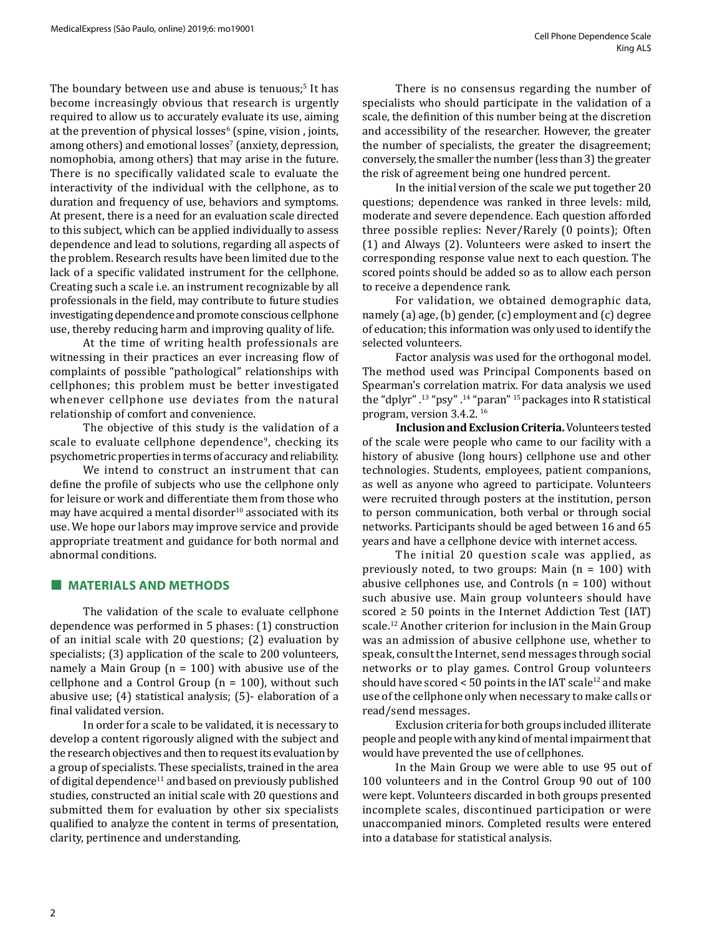The boundary between use and abuse is tenuous;<sup>5</sup> It has become increasingly obvious that research is urgently required to allow us to accurately evaluate its use, aiming at the prevention of physical losses<sup>6</sup> (spine, vision , joints, among others) and emotional losses' (anxiety, depression, nomophobia, among others) that may arise in the future. There is no specifically validated scale to evaluate the interactivity of the individual with the cellphone, as to duration and frequency of use, behaviors and symptoms. At present, there is a need for an evaluation scale directed to this subject, which can be applied individually to assess dependence and lead to solutions, regarding all aspects of the problem. Research results have been limited due to the lack of a specific validated instrument for the cellphone. Creating such a scale i.e. an instrument recognizable by all professionals in the field, may contribute to future studies investigating dependence and promote conscious cellphone use, thereby reducing harm and improving quality of life.

At the time of writing health professionals are witnessing in their practices an ever increasing flow of complaints of possible "pathological" relationships with cellphones; this problem must be better investigated whenever cellphone use deviates from the natural relationship of comfort and convenience.

The objective of this study is the validation of a scale to evaluate cellphone dependence<sup>9</sup>, checking its psychometric properties in terms of accuracy and reliability.

We intend to construct an instrument that can define the profile of subjects who use the cellphone only for leisure or work and differentiate them from those who may have acquired a mental disorder $10$  associated with its use. We hope our labors may improve service and provide appropriate treatment and guidance for both normal and abnormal conditions.

#### **■ MATERIALS AND METHODS**

The validation of the scale to evaluate cellphone dependence was performed in 5 phases: (1) construction of an initial scale with 20 questions; (2) evaluation by specialists; (3) application of the scale to 200 volunteers, namely a Main Group ( $n = 100$ ) with abusive use of the cellphone and a Control Group ( $n = 100$ ), without such abusive use; (4) statistical analysis; (5)- elaboration of a final validated version.

In order for a scale to be validated, it is necessary to develop a content rigorously aligned with the subject and the research objectives and then to request its evaluation by a group of specialists. These specialists, trained in the area of digital dependence<sup>11</sup> and based on previously published studies, constructed an initial scale with 20 questions and submitted them for evaluation by other six specialists qualified to analyze the content in terms of presentation, clarity, pertinence and understanding.

There is no consensus regarding the number of specialists who should participate in the validation of a scale, the definition of this number being at the discretion and accessibility of the researcher. However, the greater the number of specialists, the greater the disagreement; conversely, the smaller the number (less than 3) the greater the risk of agreement being one hundred percent.

In the initial version of the scale we put together 20 questions; dependence was ranked in three levels: mild, moderate and severe dependence. Each question afforded three possible replies: Never/Rarely (0 points); Often (1) and Always (2). Volunteers were asked to insert the corresponding response value next to each question. The scored points should be added so as to allow each person to receive a dependence rank.

For validation, we obtained demographic data, namely (a) age, (b) gender, (c) employment and (c) degree of education; this information was only used to identify the selected volunteers.

Factor analysis was used for the orthogonal model. The method used was Principal Components based on Spearman's correlation matrix. For data analysis we used the "dplyr" .<sup>13</sup> "psy" .<sup>14</sup> "paran" 15 packages into R statistical program, version 3.4.2. 16

**Inclusion and Exclusion Criteria.** Volunteers tested of the scale were people who came to our facility with a history of abusive (long hours) cellphone use and other technologies. Students, employees, patient companions, as well as anyone who agreed to participate. Volunteers were recruited through posters at the institution, person to person communication, both verbal or through social networks. Participants should be aged between 16 and 65 years and have a cellphone device with internet access.

The initial 20 question scale was applied, as previously noted, to two groups: Main (n = 100) with abusive cellphones use, and Controls  $(n = 100)$  without such abusive use. Main group volunteers should have scored  $\geq$  50 points in the Internet Addiction Test (IAT) scale.12 Another criterion for inclusion in the Main Group was an admission of abusive cellphone use, whether to speak, consult the Internet, send messages through social networks or to play games. Control Group volunteers should have scored  $< 50$  points in the IAT scale<sup>12</sup> and make use of the cellphone only when necessary to make calls or read/send messages.

Exclusion criteria for both groups included illiterate people and people with any kind of mental impairment that would have prevented the use of cellphones.

In the Main Group we were able to use 95 out of 100 volunteers and in the Control Group 90 out of 100 were kept. Volunteers discarded in both groups presented incomplete scales, discontinued participation or were unaccompanied minors. Completed results were entered into a database for statistical analysis.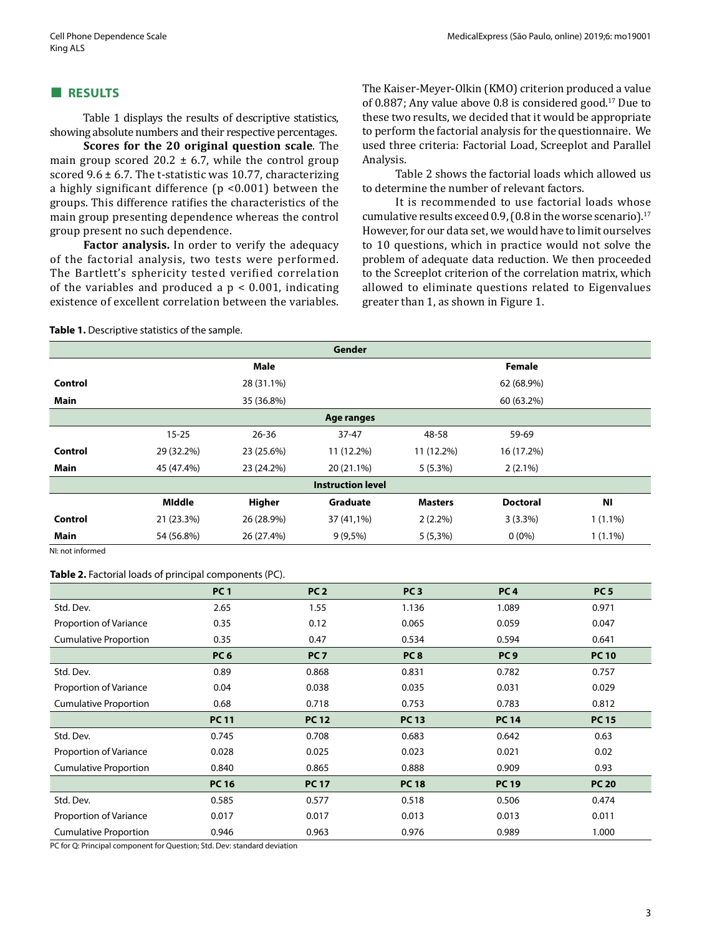#### **■ RESULTS**

Table 1 displays the results of descriptive statistics, showing absolute numbers and their respective percentages.

**Scores for the 20 original question scale**. The main group scored 20.2  $\pm$  6.7, while the control group scored 9.6  $\pm$  6.7. The t-statistic was 10.77, characterizing a highly significant difference (p <0.001) between the groups. This difference ratifies the characteristics of the main group presenting dependence whereas the control group present no such dependence.

**Factor analysis.** In order to verify the adequacy of the factorial analysis, two tests were performed. The Bartlett's sphericity tested verified correlation of the variables and produced a  $p < 0.001$ , indicating existence of excellent correlation between the variables. The Kaiser-Meyer-Olkin (KMO) criterion produced a value of 0.887; Any value above 0.8 is considered good.17 Due to these two results, we decided that it would be appropriate to perform the factorial analysis for the questionnaire. We used three criteria: Factorial Load, Screeplot and Parallel Analysis.

Table 2 shows the factorial loads which allowed us to determine the number of relevant factors.

It is recommended to use factorial loads whose cumulative results exceed 0.9, (0.8 in the worse scenario). $17$ However, for our data set, we would have to limit ourselves to 10 questions, which in practice would not solve the problem of adequate data reduction. We then proceeded to the Screeplot criterion of the correlation matrix, which allowed to eliminate questions related to Eigenvalues greater than 1, as shown in Figure 1.

#### **Table 1.** Descriptive statistics of the sample.

|                |            |             | Gender                   |                |                 |            |
|----------------|------------|-------------|--------------------------|----------------|-----------------|------------|
|                |            | <b>Male</b> |                          |                | <b>Female</b>   |            |
| <b>Control</b> |            | 28 (31.1%)  |                          |                | 62 (68.9%)      |            |
| Main           |            | 35 (36.8%)  |                          |                | 60 (63.2%)      |            |
|                |            |             | Age ranges               |                |                 |            |
|                | $15 - 25$  | $26 - 36$   | $37 - 47$                | 48-58          | 59-69           |            |
| Control        | 29 (32.2%) | 23 (25.6%)  | 11 (12.2%)               | 11 (12.2%)     | 16 (17.2%)      |            |
| <b>Main</b>    | 45 (47.4%) | 23 (24.2%)  | 20 (21.1%)               | $5(5.3\%)$     | $2(2.1\%)$      |            |
|                |            |             | <b>Instruction level</b> |                |                 |            |
|                | Middle     | Higher      | Graduate                 | <b>Masters</b> | <b>Doctoral</b> | <b>NI</b>  |
| Control        | 21 (23.3%) | 26 (28.9%)  | 37 (41,1%)               | $2(2.2\%)$     | $3(3.3\%)$      | $1(1.1\%)$ |
| <b>Main</b>    | 54 (56.8%) | 26 (27.4%)  | $9(9,5\%)$               | $5(5,3\%)$     | $0(0\%)$        | $1(1.1\%)$ |

NI: not informed

#### **Table 2.** Factorial loads of principal components (PC).

|                              | <b>PC1</b>      | PC <sub>2</sub> | PC <sub>3</sub> | PC <sub>4</sub> | PC <sub>5</sub> |
|------------------------------|-----------------|-----------------|-----------------|-----------------|-----------------|
| Std. Dev.                    | 2.65            | 1.55            | 1.136           | 1.089           | 0.971           |
| Proportion of Variance       | 0.35            | 0.12            | 0.065           | 0.059           | 0.047           |
| <b>Cumulative Proportion</b> | 0.35            | 0.47            | 0.534           | 0.594           | 0.641           |
|                              | PC <sub>6</sub> | PC <sub>7</sub> | PC <sub>8</sub> | PC <sub>9</sub> | <b>PC 10</b>    |
| Std. Dev.                    | 0.89            | 0.868           | 0.831           | 0.782           | 0.757           |
| Proportion of Variance       | 0.04            | 0.038           | 0.035           | 0.031           | 0.029           |
| <b>Cumulative Proportion</b> | 0.68            | 0.718           | 0.753           | 0.783           | 0.812           |
|                              | <b>PC11</b>     | <b>PC 12</b>    | <b>PC 13</b>    | <b>PC 14</b>    | <b>PC15</b>     |
| Std. Dev.                    | 0.745           | 0.708           | 0.683           | 0.642           | 0.63            |
| Proportion of Variance       | 0.028           | 0.025           | 0.023           | 0.021           | 0.02            |
| <b>Cumulative Proportion</b> | 0.840           | 0.865           | 0.888           | 0.909           | 0.93            |
|                              | <b>PC 16</b>    | <b>PC 17</b>    | <b>PC18</b>     | <b>PC 19</b>    | <b>PC 20</b>    |
| Std. Dev.                    | 0.585           | 0.577           | 0.518           | 0.506           | 0.474           |
| Proportion of Variance       | 0.017           | 0.017           | 0.013           | 0.013           | 0.011           |
| <b>Cumulative Proportion</b> | 0.946           | 0.963           | 0.976           | 0.989           | 1.000           |

PC for Q: Principal component for Question; Std. Dev: standard deviation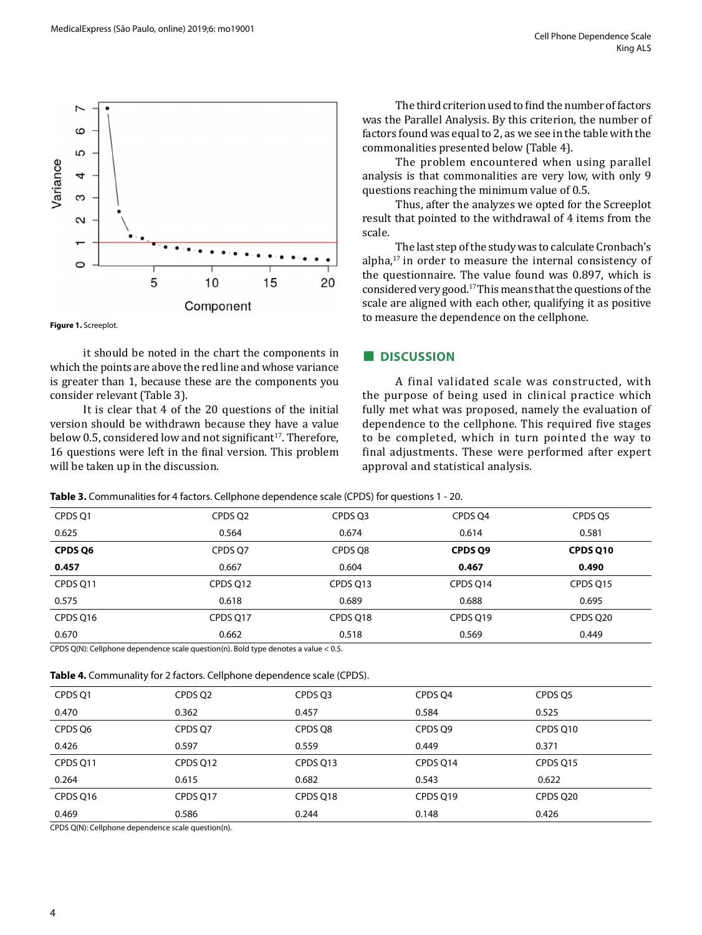

**Figure 1.** Screeplot.

it should be noted in the chart the components in which the points are above the red line and whose variance is greater than 1, because these are the components you consider relevant (Table 3).

It is clear that 4 of the 20 questions of the initial version should be withdrawn because they have a value below 0.5, considered low and not significant<sup>17</sup>. Therefore, 16 questions were left in the final version. This problem will be taken up in the discussion.

The third criterion used to find the number of factors was the Parallel Analysis. By this criterion, the number of factors found was equal to 2, as we see in the table with the commonalities presented below (Table 4).

The problem encountered when using parallel analysis is that commonalities are very low, with only 9 questions reaching the minimum value of 0.5.

Thus, after the analyzes we opted for the Screeplot result that pointed to the withdrawal of 4 items from the scale.

The last step of the study was to calculate Cronbach's alpha,17 in order to measure the internal consistency of the questionnaire. The value found was 0.897, which is considered very good.17 This means that the questions of the scale are aligned with each other, qualifying it as positive to measure the dependence on the cellphone.

#### **■ DISCUSSION**

A final validated scale was constructed, with the purpose of being used in clinical practice which fully met what was proposed, namely the evaluation of dependence to the cellphone. This required five stages to be completed, which in turn pointed the way to final adjustments. These were performed after expert approval and statistical analysis.

**Table 3.** Communalities for 4 factors. Cellphone dependence scale (CPDS) for questions 1 - 20.

| CPDS 01  | CPDS 02  | CPDS 03  | CPDS 04  | CPDS 05  |
|----------|----------|----------|----------|----------|
| 0.625    | 0.564    | 0.674    | 0.614    | 0.581    |
| CPDS Q6  | CPDS O7  | CPDS O8  | CPDS Q9  | CPDS Q10 |
| 0.457    | 0.667    | 0.604    | 0.467    | 0.490    |
| CPDS 011 | CPDS 012 | CPDS Q13 | CPDS 014 | CPDS Q15 |
| 0.575    | 0.618    | 0.689    | 0.688    | 0.695    |
| CPDS 016 | CPDS Q17 | CPDS 018 | CPDS 019 | CPDS Q20 |
| 0.670    | 0.662    | 0.518    | 0.569    | 0.449    |

CPDS Q(N): Cellphone dependence scale question(n). Bold type denotes a value < 0.5.

|  |  |  | Table 4. Communality for 2 factors. Cellphone dependence scale (CPDS). |
|--|--|--|------------------------------------------------------------------------|
|--|--|--|------------------------------------------------------------------------|

| 0.469    | 0.586    | 0.244    | 0.148    | 0.426    |
|----------|----------|----------|----------|----------|
|          |          |          |          |          |
| CPDS 016 | CPDS Q17 | CPDS 018 | CPDS Q19 | CPDS 020 |
| 0.264    | 0.615    | 0.682    | 0.543    | 0.622    |
| CPDS 011 | CPDS Q12 | CPDS 013 | CPDS Q14 | CPDS 015 |
| 0.426    | 0.597    | 0.559    | 0.449    | 0.371    |
| CPDS O6  | CPDS 07  | CPDS O8  | CPDS O9  | CPDS 010 |
| 0.470    | 0.362    | 0.457    | 0.584    | 0.525    |
| CPDS Q1  | CPDS Q2  | CPDS 03  | CPDS 04  | CPDS O5  |
|          |          |          |          |          |

CPDS Q(N): Cellphone dependence scale question(n).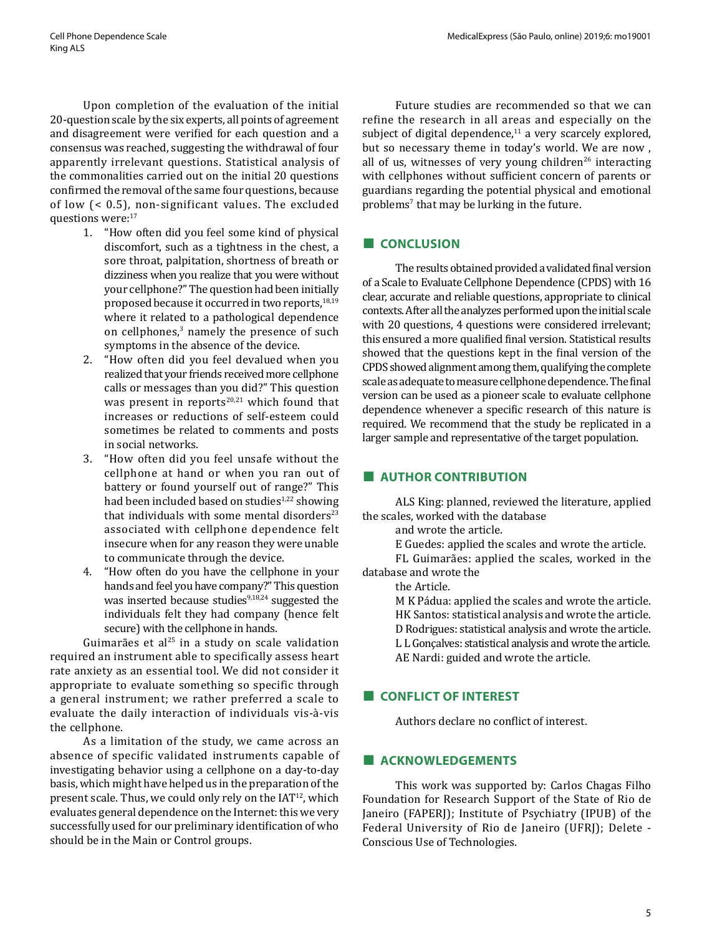Upon completion of the evaluation of the initial 20-question scale by the six experts, all points of agreement and disagreement were verified for each question and a consensus was reached, suggesting the withdrawal of four apparently irrelevant questions. Statistical analysis of the commonalities carried out on the initial 20 questions confirmed the removal of the same four questions, because of low (< 0.5), non-significant values. The excluded questions were:<sup>17</sup>

- 1. "How often did you feel some kind of physical discomfort, such as a tightness in the chest, a sore throat, palpitation, shortness of breath or dizziness when you realize that you were without your cellphone?" The question had been initially proposed because it occurred in two reports,<sup>18,19</sup> where it related to a pathological dependence on cellphones, $3$  namely the presence of such symptoms in the absence of the device.
- 2. "How often did you feel devalued when you realized that your friends received more cellphone calls or messages than you did?" This question was present in reports $20,21$  which found that increases or reductions of self-esteem could sometimes be related to comments and posts in social networks.
- 3. "How often did you feel unsafe without the cellphone at hand or when you ran out of battery or found yourself out of range?" This had been included based on studies<sup>1,22</sup> showing that individuals with some mental disorders $^{23}$ associated with cellphone dependence felt insecure when for any reason they were unable to communicate through the device.
- 4. "How often do you have the cellphone in your hands and feel you have company?" This question was inserted because studies $9,18,24$  suggested the individuals felt they had company (hence felt secure) with the cellphone in hands.

Guimarães et al $25$  in a study on scale validation required an instrument able to specifically assess heart rate anxiety as an essential tool. We did not consider it appropriate to evaluate something so specific through a general instrument; we rather preferred a scale to evaluate the daily interaction of individuals vis-à-vis the cellphone.

As a limitation of the study, we came across an absence of specific validated instruments capable of investigating behavior using a cellphone on a day-to-day basis, which might have helped us in the preparation of the present scale. Thus, we could only rely on the  $IAT<sup>12</sup>$ , which evaluates general dependence on the Internet: this we very successfully used for our preliminary identification of who should be in the Main or Control groups.

Future studies are recommended so that we can refine the research in all areas and especially on the subject of digital dependence, $11$  a very scarcely explored, but so necessary theme in today's world. We are now , all of us, witnesses of very young children<sup>26</sup> interacting with cellphones without sufficient concern of parents or guardians regarding the potential physical and emotional problems<sup>7</sup> that may be lurking in the future.

## **■ CONCLUSION**

The results obtained provided a validated final version of a Scale to Evaluate Cellphone Dependence (CPDS) with 16 clear, accurate and reliable questions, appropriate to clinical contexts. After all the analyzes performed upon the initial scale with 20 questions, 4 questions were considered irrelevant; this ensured a more qualified final version. Statistical results showed that the questions kept in the final version of the CPDS showed alignment among them, qualifying the complete scale as adequate to measure cellphone dependence. The final version can be used as a pioneer scale to evaluate cellphone dependence whenever a specific research of this nature is required. We recommend that the study be replicated in a larger sample and representative of the target population.

## **■ AUTHOR CONTRIBUTION**

ALS King: planned, reviewed the literature, applied the scales, worked with the database

and wrote the article.

E Guedes: applied the scales and wrote the article.

FL Guimarães: applied the scales, worked in the database and wrote the

the Article.

M K Pádua: applied the scales and wrote the article. HK Santos: statistical analysis and wrote the article. D Rodrigues: statistical analysis and wrote the article. L L Gonçalves: statistical analysis and wrote the article. AE Nardi: guided and wrote the article.

## **■ CONFLICT OF INTEREST**

Authors declare no conflict of interest.

## **■ ACKNOWLEDGEMENTS**

This work was supported by: Carlos Chagas Filho Foundation for Research Support of the State of Rio de Janeiro (FAPERJ); Institute of Psychiatry (IPUB) of the Federal University of Rio de Janeiro (UFRJ); Delete - Conscious Use of Technologies.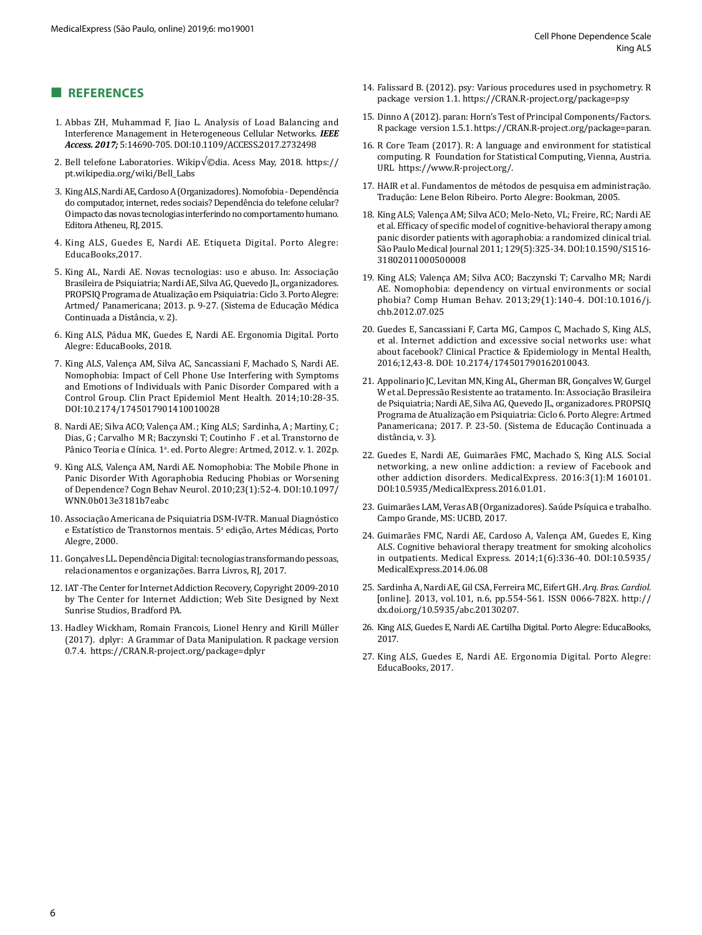## **■ REFERENCES**

- 1. Abbas ZH, Muhammad F, Jiao L. Analysis of Load Balancing and Interference Management in Heterogeneous Cellular Networks. *IEEE Access. 2017;* 5:14690-705. DOI:10.1109/ACCESS.2017.2732498
- 2. Bell telefone Laboratories. Wikip $\sqrt{\circ}$ dia. Acess May, 2018. https:// pt.wikipedia.org/wiki/Bell\_Labs
- 3. King ALS, Nardi AE, Cardoso A (Organizadores). Nomofobia Dependência do computador, internet, redes sociais? Dependência do telefone celular? O impacto das novas tecnologias interferindo no comportamento humano. Editora Atheneu, RJ, 2015.
- 4. King ALS, Guedes E, Nardi AE. Etiqueta Digital. Porto Alegre: EducaBooks,2017.
- 5. King AL, Nardi AE. Novas tecnologias: uso e abuso. In: Associação Brasileira de Psiquiatria; Nardi AE, Silva AG, Quevedo JL, organizadores. PROPSIQ Programa de Atualização em Psiquiatria: Ciclo 3. Porto Alegre: Artmed/ Panamericana; 2013. p. 9-27. (Sistema de Educação Médica Continuada a Distância, v. 2).
- 6. King ALS, Pádua MK, Guedes E, Nardi AE. Ergonomia Digital. Porto Alegre: EducaBooks, 2018.
- 7. King ALS, Valença AM, Silva AC, Sancassiani F, Machado S, Nardi AE. Nomophobia: Impact of Cell Phone Use Interfering with Symptoms and Emotions of Individuals with Panic Disorder Compared with a Control Group. Clin Pract Epidemiol Ment Health. 2014;10:28-35. DOI:10.2174/1745017901410010028
- 8. Nardi AE; Silva ACO; Valença AM. ; King ALS; Sardinha, A ; Martiny, C ; Dias, G ; Carvalho M R; Baczynski T; Coutinho F . et al. Transtorno de Pânico Teoria e Clínica. 1ª. ed. Porto Alegre: Artmed, 2012. v. 1. 202p.
- 9. King ALS, Valença AM, Nardi AE. Nomophobia: The Mobile Phone in Panic Disorder With Agoraphobia Reducing Phobias or Worsening of Dependence? Cogn Behav Neurol. 2010;23(1):52-4. DOI:10.1097/ WNN.0b013e3181b7eabc
- 10. Associação Americana de Psiquiatria DSM-IV-TR. Manual Diagnóstico e Estatístico de Transtornos mentais. 5ª edição, Artes Médicas, Porto Alegre, 2000.
- 11. Gonçalves LL. Dependência Digital: tecnologias transformando pessoas, relacionamentos e organizações. Barra Livros, RJ, 2017.
- 12. IAT -The Center for Internet Addiction Recovery, Copyright 2009-2010 by The Center for Internet Addiction; Web Site Designed by [Next](http://nextsunrise.com/)  [Sunrise Studios, Bradford PA.](http://nextsunrise.com/)
- 13. Hadley Wickham, Romain Francois, Lionel Henry and Kirill Müller (2017). dplyr: A Grammar of Data Manipulation. R package version 0.7.4. https://CRAN.R-project.org/package=dplyr
- 14. Falissard B. (2012). psy: Various procedures used in psychometry. R package version 1.1. https://CRAN.R-project.org/package=psy
- 15. Dinno A (2012). paran: Horn's Test of Principal Components/Factors. R package version 1.5.1. https://CRAN.R-project.org/package=paran.
- 16. R Core Team (2017). R: A language and environment for statistical computing. R Foundation for Statistical Computing, Vienna, Austria. URL <https://www.R-project.org/>.
- 17. HAIR et al. Fundamentos de métodos de pesquisa em administração. Tradução: Lene Belon Ribeiro. Porto Alegre: Bookman, 2005.
- 18. King ALS; Valença AM; Silva ACO; Melo-Neto, VL; Freire, RC; Nardi AE et al. Efficacy of specific model of cognitive-behavioral therapy among panic disorder patients with agoraphobia: a randomized clinical trial. São Paulo Medical Journal 2011; 129(5):325-34. DOI:10.1590/S1516- 31802011000500008
- 19. King ALS; Valença AM; Silva ACO; Baczynski T; Carvalho MR; Nardi AE. Nomophobia: dependency on virtual environments or social phobia? Comp Human Behav. 2013;29(1):140-4. DOI:10.1016/j. chb.2012.07.025
- 20. Guedes E, Sancassiani F, Carta MG, Campos C, Machado S, King ALS, et al. Internet addiction and excessive social networks use: what about facebook? Clinical Practice & Epidemiology in Mental Health, 2016;12,43-8. DOI: 10.2174/174501790162010043.
- 21. Appolinario JC, Levitan MN, King AL, Gherman BR, Gonçalves W, Gurgel W et al. Depressão Resistente ao tratamento. In: Associação Brasileira de Psiquiatria; Nardi AE, Silva AG, Quevedo JL, organizadores. PROPSIQ Programa de Atualização em Psiquiatria: Ciclo 6. Porto Alegre: Artmed Panamericana; 2017. P. 23-50. (Sistema de Educação Continuada a distância, v. 3).
- 22. Guedes E, Nardi AE, Guimarães FMC, Machado S, King ALS. Social networking, a new online addiction: a review of Facebook and other addiction disorders. MedicalExpress. 2016:3(1):M 160101. DOI:10.5935/MedicalExpress.2016.01.01.
- 23. Guimarães LAM, Veras AB (Organizadores). Saúde Psíquica e trabalho. Campo Grande, MS: UCBD, 2017.
- 24. Guimarães FMC, Nardi AE, Cardoso A, Valença AM, Guedes E, King ALS. Cognitive behavioral therapy treatment for smoking alcoholics in outpatients. Medical Express. 2014;1(6):336-40. DOI:10.5935/ MedicalExpress.2014.06.08
- 25. Sardinha A, Nardi AE, Gil CSA, Ferreira MC, Eifert GH. *Arq. Bras. Cardiol.* [online]. 2013, vol.101, n.6, pp.554-561. ISSN 0066-782X. http:// dx.doi.org/10.5935/abc.20130207.
- 26. King ALS, Guedes E, Nardi AE. Cartilha Digital. Porto Alegre: EducaBooks, 2017.
- 27. King ALS, Guedes E, Nardi AE. Ergonomia Digital. Porto Alegre: EducaBooks, 2017.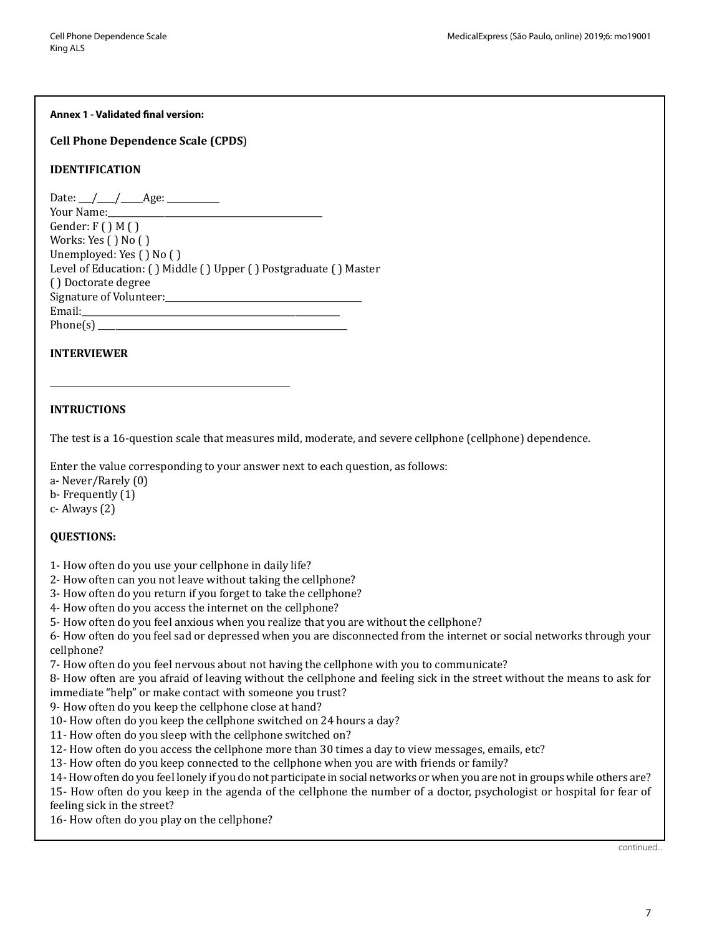#### **Annex 1 - Validated final version:**

**Cell Phone Dependence Scale (CPDS**)

## **IDENTIFICATION**

| Date: $\angle$ / $\angle$ Age: $\angle$                                                                                                                                                                                        |
|--------------------------------------------------------------------------------------------------------------------------------------------------------------------------------------------------------------------------------|
| Your Name: Now Your Manager                                                                                                                                                                                                    |
| Gender: $F()M()$                                                                                                                                                                                                               |
| Works: Yes $( )$ No $( )$                                                                                                                                                                                                      |
| Unemployed: Yes () No ()                                                                                                                                                                                                       |
| Level of Education: () Middle () Upper () Postgraduate () Master                                                                                                                                                               |
| () Doctorate degree                                                                                                                                                                                                            |
| Signature of Volunteer:                                                                                                                                                                                                        |
| Email: Email: All Annual Secrets of the Secrets of the Secrets of the Secrets of the Secrets of the Secrets of the Secrets of the Secrets of the Secrets of the Secrets of the Secrets of the Secrets of the Secrets of the Se |
| Phone(s)                                                                                                                                                                                                                       |
|                                                                                                                                                                                                                                |

## **INTERVIEWER**

## **INTRUCTIONS**

The test is a 16-question scale that measures mild, moderate, and severe cellphone (cellphone) dependence.

Enter the value corresponding to your answer next to each question, as follows:

a- Never/Rarely (0)

b- Frequently (1)

c- Always (2)

## **QUESTIONS:**

1- How often do you use your cellphone in daily life?

\_\_\_\_\_\_\_\_\_\_\_\_\_\_\_\_\_\_\_\_\_\_\_\_\_\_\_\_\_\_\_\_\_\_\_\_\_\_\_\_\_\_\_\_\_\_\_\_\_\_\_\_\_\_\_

- 2- How often can you not leave without taking the cellphone?
- 3- How often do you return if you forget to take the cellphone?
- 4- How often do you access the internet on the cellphone?
- 5- How often do you feel anxious when you realize that you are without the cellphone?

6- How often do you feel sad or depressed when you are disconnected from the internet or social networks through your cellphone?

7- How often do you feel nervous about not having the cellphone with you to communicate?

8- How often are you afraid of leaving without the cellphone and feeling sick in the street without the means to ask for immediate "help" or make contact with someone you trust?

9- How often do you keep the cellphone close at hand?

- 10- How often do you keep the cellphone switched on 24 hours a day?
- 11- How often do you sleep with the cellphone switched on?
- 12- How often do you access the cellphone more than 30 times a day to view messages, emails, etc?

13- How often do you keep connected to the cellphone when you are with friends or family?

14- How often do you feel lonely if you do not participate in social networks or when you are not in groups while others are?

15- How often do you keep in the agenda of the cellphone the number of a doctor, psychologist or hospital for fear of feeling sick in the street?

16- How often do you play on the cellphone?